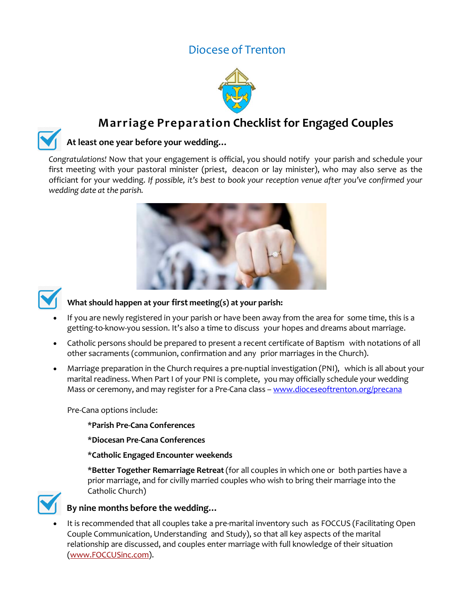## Diocese of Trenton



# **Marriage Preparation Checklist for Engaged Couples**

### **At least one year before your wedding…**

*Congratulations!* Now that your engagement is official, you should notify your parish and schedule your first meeting with your pastoral minister (priest, deacon or lay minister), who may also serve as the officiant for your wedding. *If possible, it's best to book your reception venue after you've confirmed your wedding date at the parish.*





## **What should happen at your first meeting(s) at your parish:**

- If you are newly registered in your parish or have been away from the area for some time, this is a getting-to-know-you session. It's also a time to discuss your hopes and dreams about marriage.
- Catholic persons should be prepared to present a recent certificate of Baptism with notations of all other sacraments (communion, confirmation and any prior marriages in the Church).
- Marriage preparation in the Church requires a pre-nuptial investigation (PNI), which is all about your marital readiness. When Part I of your PNI is complete, you may officially schedule your wedding Mass or ceremony, and may register for a Pre-Cana class – [www.dioceseoftrenton.org/precana](http://www.dioceseoftrenton.org/precana)

Pre-Cana options include:

\***Parish Pre-Cana Conferences**

\***Diocesan Pre-Cana Conferences**

\***Catholic Engaged Encounter weekends**

\***Better Together Remarriage Retreat** (for all couples in which one or both parties have a prior marriage, and for civilly married couples who wish to bring their marriage into the Catholic Church)



#### **By nine months before the wedding…**

• It is recommended that all couples take a pre-marital inventory such as FOCCUS (Facilitating Open Couple Communication, Understanding and Study), so that all key aspects of the marital relationship are discussed, and couples enter marriage with full knowledge of their situation [\(www.FOCCUSinc.com\).](http://www.foccusinc.com/)